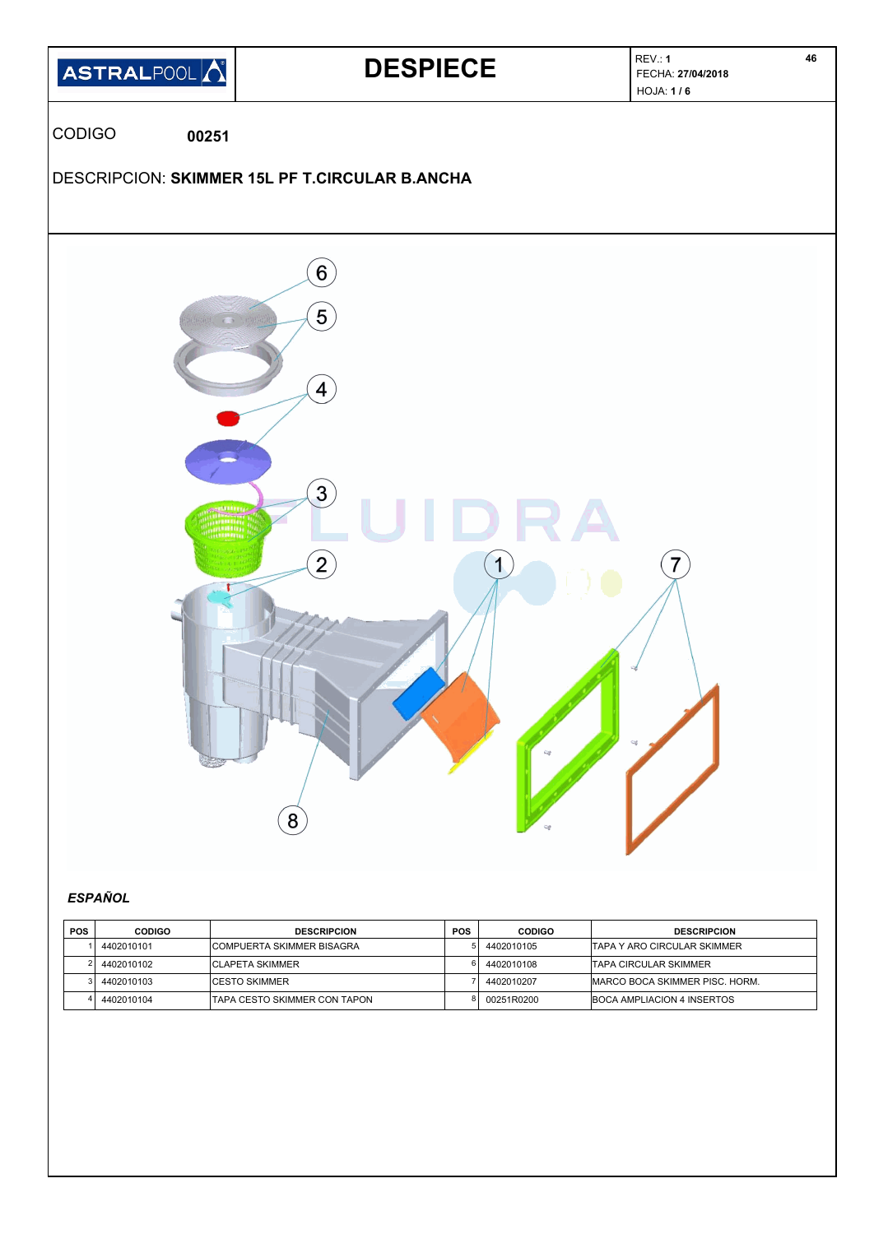

# *ESPAÑOL*

| <b>POS</b> | <b>CODIGO</b> | <b>DESCRIPCION</b>                | <b>POS</b> | <b>CODIGO</b> | <b>DESCRIPCION</b>                     |
|------------|---------------|-----------------------------------|------------|---------------|----------------------------------------|
|            | 4402010101    | <b>ICOMPUERTA SKIMMER BISAGRA</b> |            | 4402010105    | ITAPA Y ARO CIRCULAR SKIMMER           |
|            | 4402010102    | <b>ICLAPETA SKIMMER</b>           |            | 4402010108    | ITAPA CIRCULAR SKIMMER                 |
|            | 4402010103    | <b>ICESTO SKIMMER</b>             |            | 4402010207    | <b>IMARCO BOCA SKIMMER PISC. HORM.</b> |
|            | 4402010104    | ITAPA CESTO SKIMMER CON TAPON     |            | 00251R0200    | <b>IBOCA AMPLIACION 4 INSERTOS</b>     |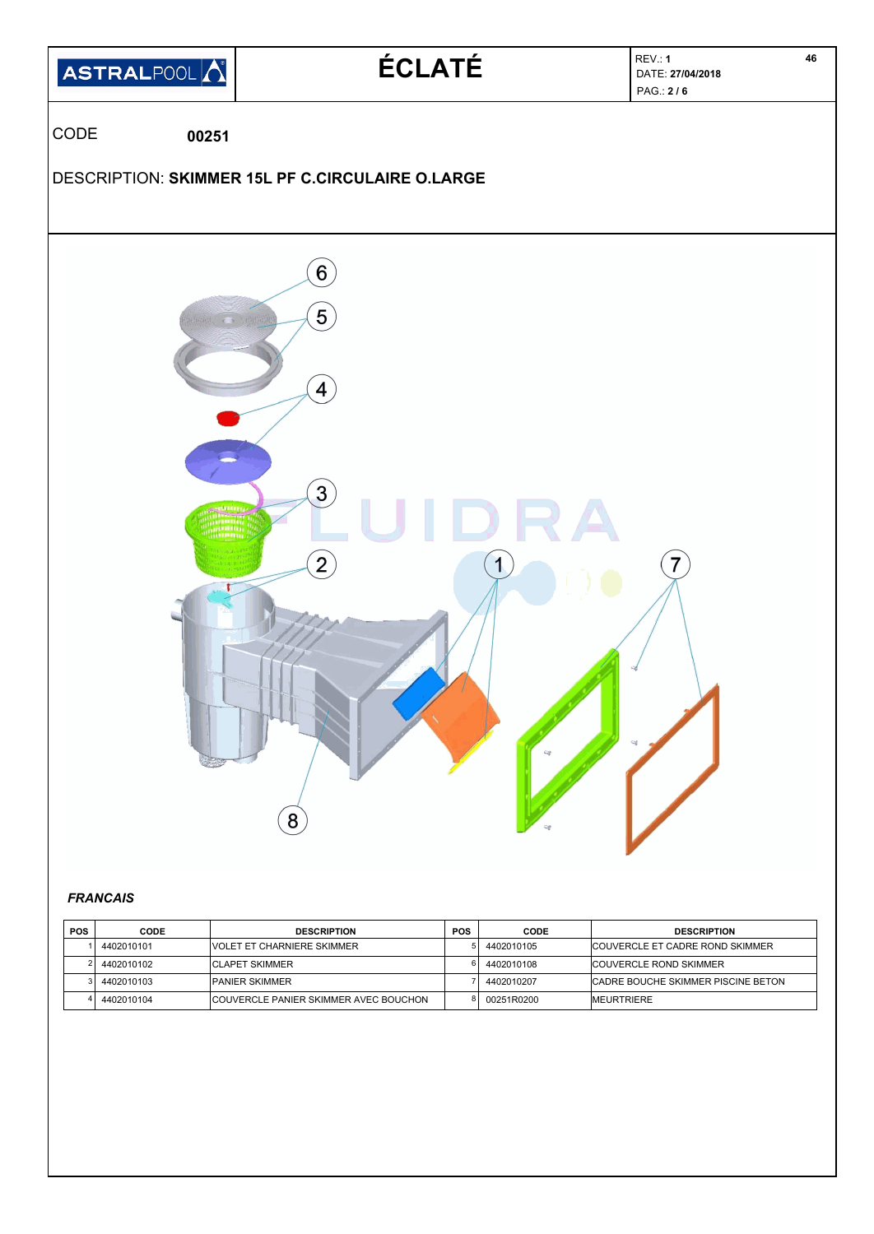

#### *FRANCAIS*

| <b>POS</b> | <b>CODE</b> | <b>DESCRIPTION</b>                    | <b>POS</b> | CODE       | <b>DESCRIPTION</b>                  |
|------------|-------------|---------------------------------------|------------|------------|-------------------------------------|
|            | 4402010101  | <b>IVOLET ET CHARNIERE SKIMMER</b>    |            | 4402010105 | ICOUVERCLE ET CADRE ROND SKIMMER    |
|            | 4402010102  | <b>ICLAPET SKIMMER</b>                |            | 4402010108 | <b>ICOUVERCLE ROND SKIMMER</b>      |
|            | 4402010103  | <b>PANIER SKIMMER</b>                 |            | 4402010207 | ICADRE BOUCHE SKIMMER PISCINE BETON |
|            | 4402010104  | COUVERCLE PANIER SKIMMER AVEC BOUCHON |            | 00251R0200 | <b>IMEURTRIERE</b>                  |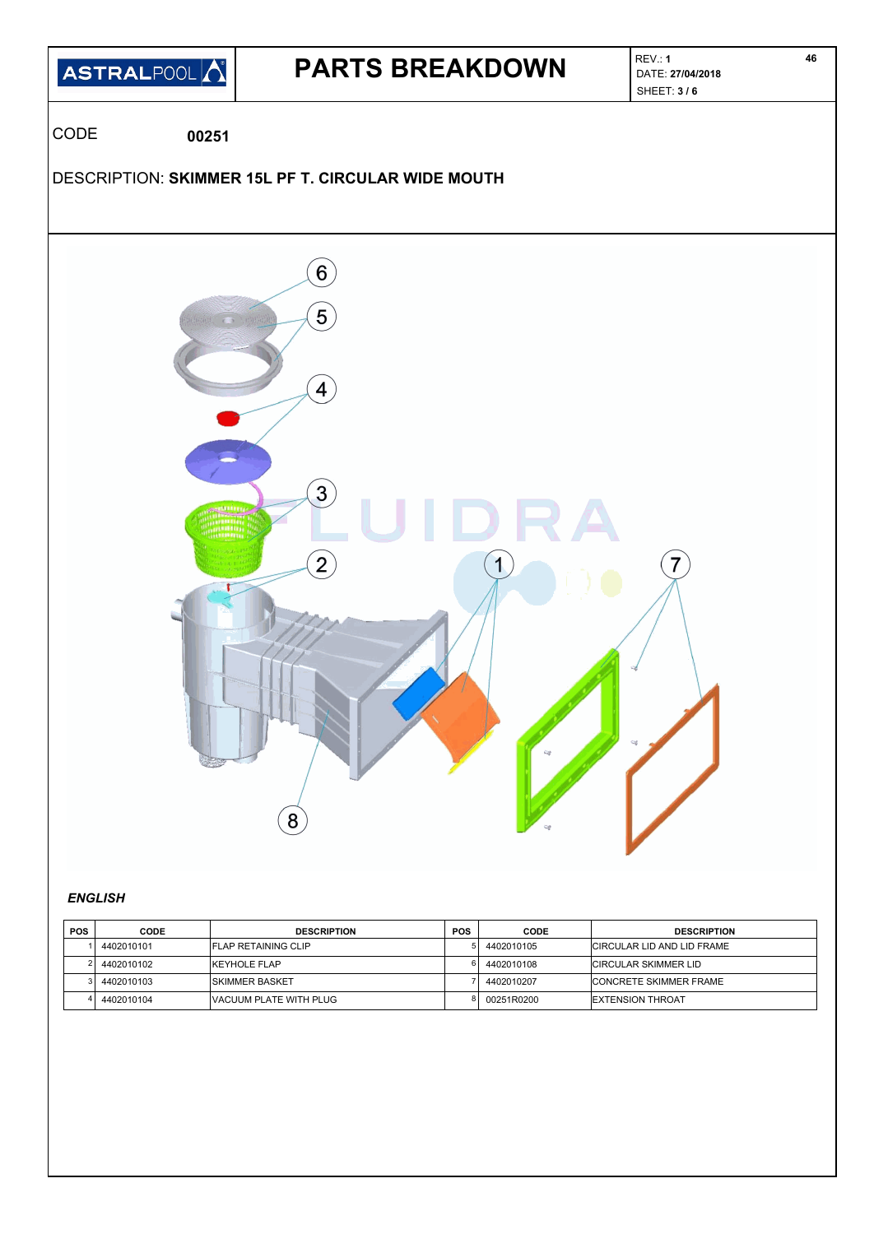

### *ENGLISH*

| <b>POS</b> | <b>CODE</b> | <b>DESCRIPTION</b>          | POS | CODE       | <b>DESCRIPTION</b>            |
|------------|-------------|-----------------------------|-----|------------|-------------------------------|
|            | 4402010101  | <b>IFLAP RETAINING CLIP</b> |     | 4402010105 | ICIRCULAR LID AND LID FRAME   |
|            | 4402010102  | <b>KEYHOLE FLAP</b>         |     | 4402010108 | <b>CIRCULAR SKIMMER LID</b>   |
|            | 4402010103  | ISKIMMER BASKET             |     | 4402010207 | <b>CONCRETE SKIMMER FRAME</b> |
|            | 4402010104  | IVACUUM PLATE WITH PLUG     |     | 00251R0200 | <b>EXTENSION THROAT</b>       |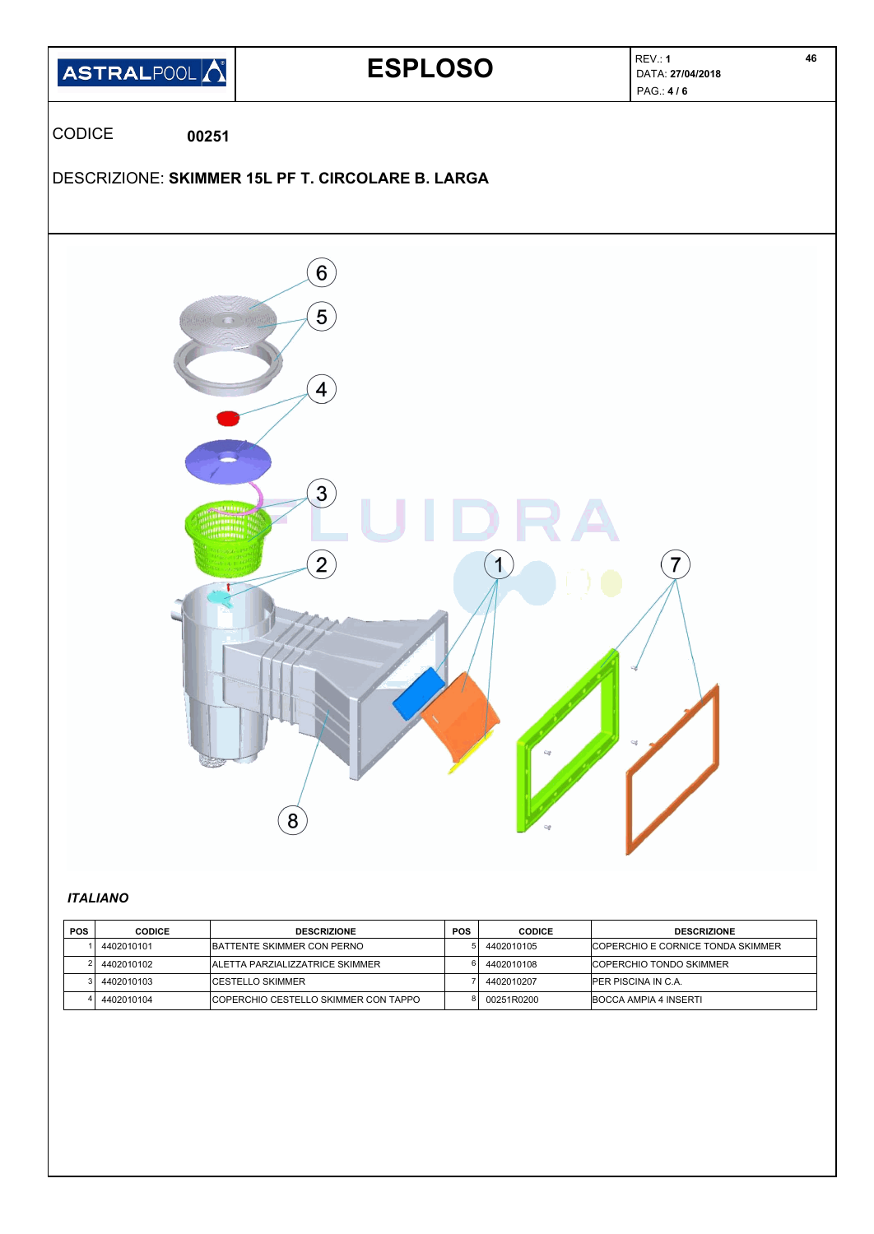

# *ITALIANO*

| <b>POS</b> | <b>CODICE</b> | <b>DESCRIZIONE</b>                     | <b>POS</b> | CODICE     | <b>DESCRIZIONE</b>                 |
|------------|---------------|----------------------------------------|------------|------------|------------------------------------|
|            | 4402010101    | <b>IBATTENTE SKIMMER CON PERNO</b>     |            | 4402010105 | ICOPERCHIO E CORNICE TONDA SKIMMER |
|            | 4402010102    | <b>ALETTA PARZIALIZZATRICE SKIMMER</b> |            | 4402010108 | <b>ICOPERCHIO TONDO SKIMMER</b>    |
|            | 4402010103    | <b>ICESTELLO SKIMMER</b>               |            | 4402010207 | <b>IPER PISCINA IN C.A.</b>        |
|            | 4402010104    | COPERCHIO CESTELLO SKIMMER CON TAPPO   |            | 00251R0200 | <b>IBOCCA AMPIA 4 INSERTI</b>      |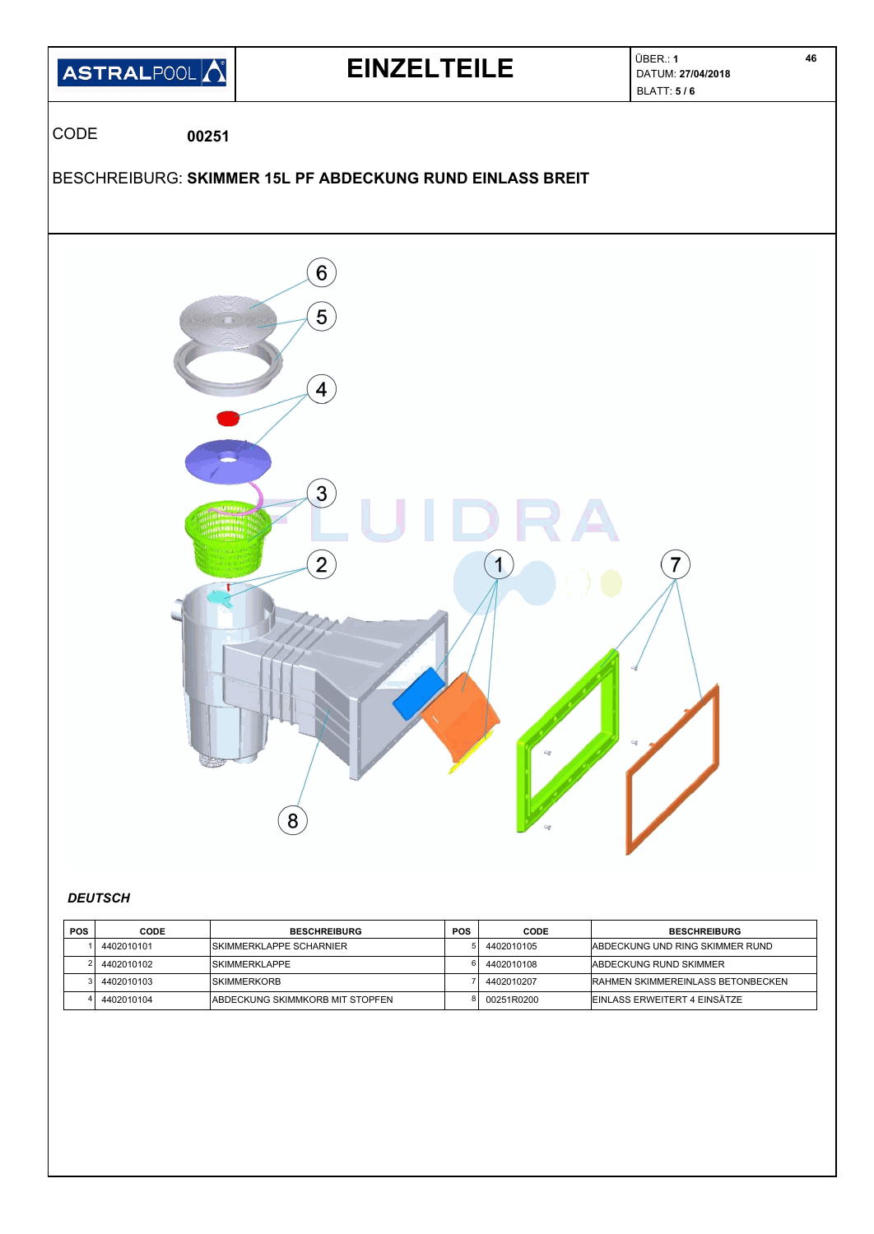

### *DEUTSCH*

| <b>POS</b> | <b>CODE</b> | <b>BESCHREIBURG</b>                    | <b>POS</b> | CODE       | <b>BESCHREIBURG</b>                      |
|------------|-------------|----------------------------------------|------------|------------|------------------------------------------|
|            | 4402010101  | <b>ISKIMMERKLAPPE SCHARNIER</b>        |            | 4402010105 | IABDECKUNG UND RING SKIMMER RUND         |
|            | 4402010102  | ISKIMMERKLAPPE                         |            | 4402010108 | <b>IABDECKUNG RUND SKIMMER</b>           |
|            | 4402010103  | <b>ISKIMMERKORB</b>                    |            | 4402010207 | <b>RAHMEN SKIMMEREINLASS BETONBECKEN</b> |
|            | 4402010104  | <b>ABDECKUNG SKIMMKORB MIT STOPFEN</b> |            | 00251R0200 | EINLASS ERWEITERT 4 EINSÄTZE             |